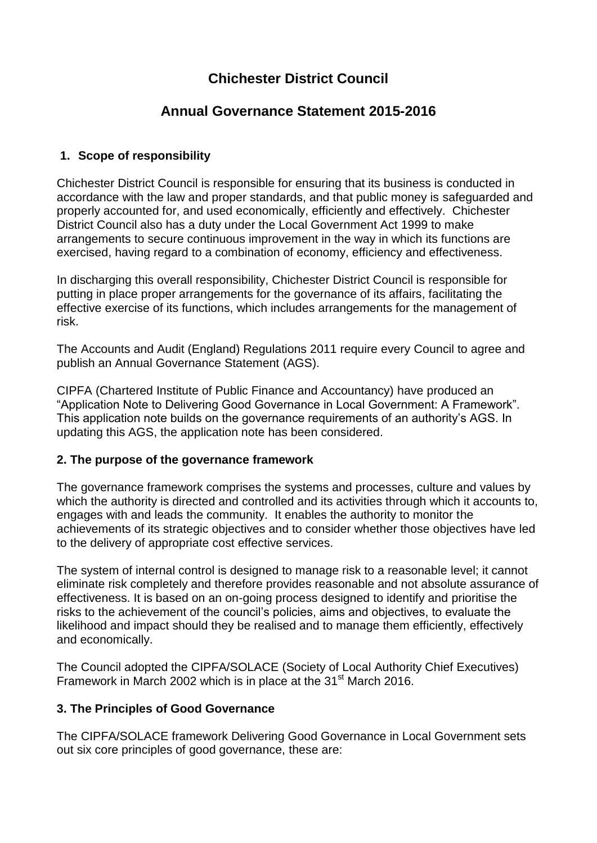# **Chichester District Council**

# **Annual Governance Statement 2015-2016**

# **1. Scope of responsibility**

Chichester District Council is responsible for ensuring that its business is conducted in accordance with the law and proper standards, and that public money is safeguarded and properly accounted for, and used economically, efficiently and effectively. Chichester District Council also has a duty under the Local Government Act 1999 to make arrangements to secure continuous improvement in the way in which its functions are exercised, having regard to a combination of economy, efficiency and effectiveness.

In discharging this overall responsibility, Chichester District Council is responsible for putting in place proper arrangements for the governance of its affairs, facilitating the effective exercise of its functions, which includes arrangements for the management of risk.

The Accounts and Audit (England) Regulations 2011 require every Council to agree and publish an Annual Governance Statement (AGS).

CIPFA (Chartered Institute of Public Finance and Accountancy) have produced an "Application Note to Delivering Good Governance in Local Government: A Framework". This application note builds on the governance requirements of an authority's AGS. In updating this AGS, the application note has been considered.

# **2. The purpose of the governance framework**

The governance framework comprises the systems and processes, culture and values by which the authority is directed and controlled and its activities through which it accounts to, engages with and leads the community. It enables the authority to monitor the achievements of its strategic objectives and to consider whether those objectives have led to the delivery of appropriate cost effective services.

The system of internal control is designed to manage risk to a reasonable level; it cannot eliminate risk completely and therefore provides reasonable and not absolute assurance of effectiveness. It is based on an on-going process designed to identify and prioritise the risks to the achievement of the council's policies, aims and objectives, to evaluate the likelihood and impact should they be realised and to manage them efficiently, effectively and economically.

The Council adopted the CIPFA/SOLACE (Society of Local Authority Chief Executives) Framework in March 2002 which is in place at the 31<sup>st</sup> March 2016.

# **3. The Principles of Good Governance**

The CIPFA/SOLACE framework Delivering Good Governance in Local Government sets out six core principles of good governance, these are: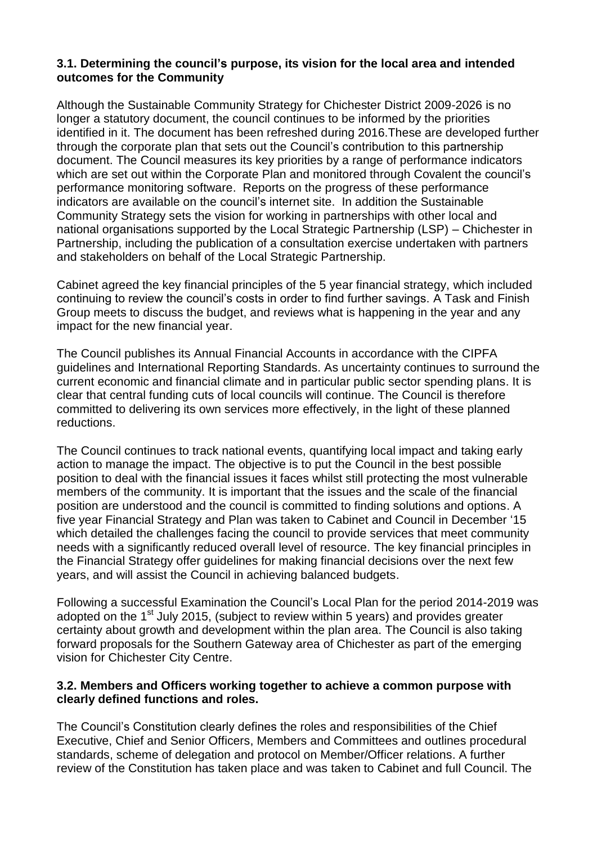### **3.1. Determining the council's purpose, its vision for the local area and intended outcomes for the Community**

Although the Sustainable Community Strategy for Chichester District 2009-2026 is no longer a statutory document, the council continues to be informed by the priorities identified in it. The document has been refreshed during 2016.These are developed further through the corporate plan that sets out the Council's contribution to this partnership document. The Council measures its key priorities by a range of performance indicators which are set out within the Corporate Plan and monitored through Covalent the council's performance monitoring software. Reports on the progress of these performance indicators are available on the council's internet site. In addition the Sustainable Community Strategy sets the vision for working in partnerships with other local and national organisations supported by the Local Strategic Partnership (LSP) – Chichester in Partnership, including the publication of a consultation exercise undertaken with partners and stakeholders on behalf of the Local Strategic Partnership.

Cabinet agreed the key financial principles of the 5 year financial strategy, which included continuing to review the council's costs in order to find further savings. A Task and Finish Group meets to discuss the budget, and reviews what is happening in the year and any impact for the new financial year.

The Council publishes its Annual Financial Accounts in accordance with the CIPFA guidelines and International Reporting Standards. As uncertainty continues to surround the current economic and financial climate and in particular public sector spending plans. It is clear that central funding cuts of local councils will continue. The Council is therefore committed to delivering its own services more effectively, in the light of these planned reductions.

The Council continues to track national events, quantifying local impact and taking early action to manage the impact. The objective is to put the Council in the best possible position to deal with the financial issues it faces whilst still protecting the most vulnerable members of the community. It is important that the issues and the scale of the financial position are understood and the council is committed to finding solutions and options. A five year Financial Strategy and Plan was taken to Cabinet and Council in December '15 which detailed the challenges facing the council to provide services that meet community needs with a significantly reduced overall level of resource. The key financial principles in the Financial Strategy offer guidelines for making financial decisions over the next few years, and will assist the Council in achieving balanced budgets.

Following a successful Examination the Council's Local Plan for the period 2014-2019 was adopted on the 1<sup>st</sup> July 2015, (subject to review within 5 years) and provides greater certainty about growth and development within the plan area. The Council is also taking forward proposals for the Southern Gateway area of Chichester as part of the emerging vision for Chichester City Centre.

#### **3.2. Members and Officers working together to achieve a common purpose with clearly defined functions and roles.**

The Council's Constitution clearly defines the roles and responsibilities of the Chief Executive, Chief and Senior Officers, Members and Committees and outlines procedural standards, scheme of delegation and protocol on Member/Officer relations. A further review of the Constitution has taken place and was taken to Cabinet and full Council. The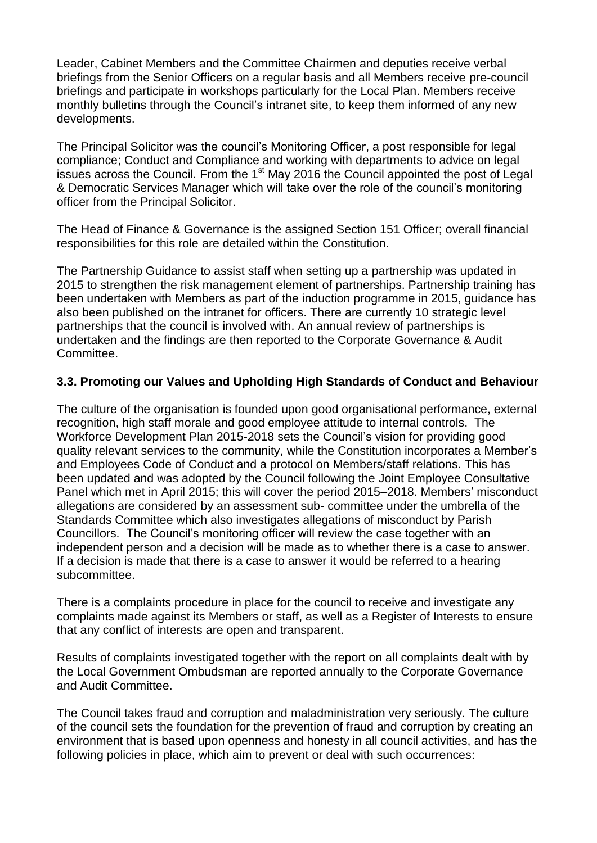Leader, Cabinet Members and the Committee Chairmen and deputies receive verbal briefings from the Senior Officers on a regular basis and all Members receive pre-council briefings and participate in workshops particularly for the Local Plan. Members receive monthly bulletins through the Council's intranet site, to keep them informed of any new developments.

The Principal Solicitor was the council's Monitoring Officer, a post responsible for legal compliance; Conduct and Compliance and working with departments to advice on legal issues across the Council. From the  $1<sup>st</sup>$  May 2016 the Council appointed the post of Legal & Democratic Services Manager which will take over the role of the council's monitoring officer from the Principal Solicitor.

The Head of Finance & Governance is the assigned Section 151 Officer; overall financial responsibilities for this role are detailed within the Constitution.

The Partnership Guidance to assist staff when setting up a partnership was updated in 2015 to strengthen the risk management element of partnerships. Partnership training has been undertaken with Members as part of the induction programme in 2015, guidance has also been published on the intranet for officers. There are currently 10 strategic level partnerships that the council is involved with. An annual review of partnerships is undertaken and the findings are then reported to the Corporate Governance & Audit Committee.

# **3.3. Promoting our Values and Upholding High Standards of Conduct and Behaviour**

The culture of the organisation is founded upon good organisational performance, external recognition, high staff morale and good employee attitude to internal controls. The Workforce Development Plan 2015-2018 sets the Council's vision for providing good quality relevant services to the community, while the Constitution incorporates a Member's and Employees Code of Conduct and a protocol on Members/staff relations. This has been updated and was adopted by the Council following the Joint Employee Consultative Panel which met in April 2015; this will cover the period 2015–2018. Members' misconduct allegations are considered by an assessment sub- committee under the umbrella of the Standards Committee which also investigates allegations of misconduct by Parish Councillors. The Council's monitoring officer will review the case together with an independent person and a decision will be made as to whether there is a case to answer. If a decision is made that there is a case to answer it would be referred to a hearing subcommittee.

There is a complaints procedure in place for the council to receive and investigate any complaints made against its Members or staff, as well as a Register of Interests to ensure that any conflict of interests are open and transparent.

Results of complaints investigated together with the report on all complaints dealt with by the Local Government Ombudsman are reported annually to the Corporate Governance and Audit Committee.

The Council takes fraud and corruption and maladministration very seriously. The culture of the council sets the foundation for the prevention of fraud and corruption by creating an environment that is based upon openness and honesty in all council activities, and has the following policies in place, which aim to prevent or deal with such occurrences: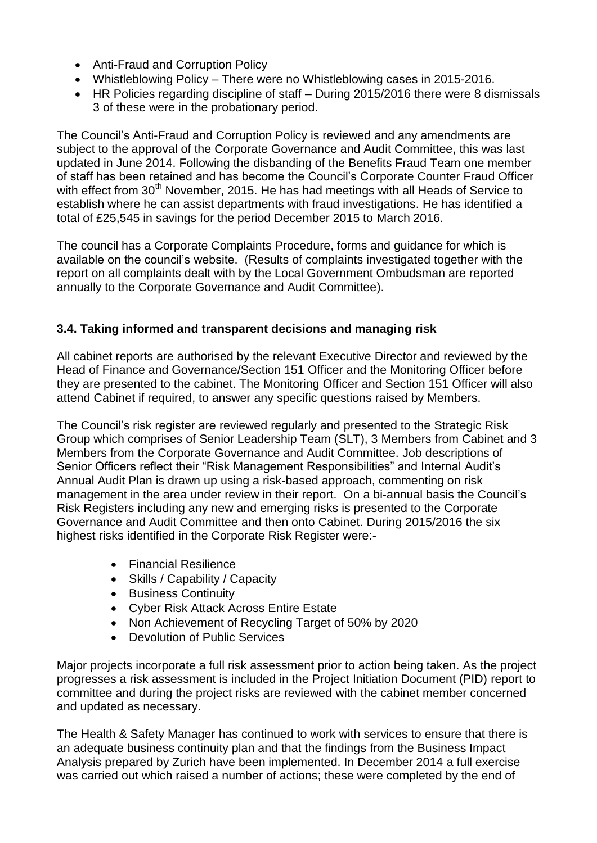- Anti-Fraud and Corruption Policy
- Whistleblowing Policy There were no Whistleblowing cases in 2015-2016.
- HR Policies regarding discipline of staff During 2015/2016 there were 8 dismissals 3 of these were in the probationary period.

The Council's Anti-Fraud and Corruption Policy is reviewed and any amendments are subject to the approval of the Corporate Governance and Audit Committee, this was last updated in June 2014. Following the disbanding of the Benefits Fraud Team one member of staff has been retained and has become the Council's Corporate Counter Fraud Officer with effect from 30<sup>th</sup> November, 2015. He has had meetings with all Heads of Service to establish where he can assist departments with fraud investigations. He has identified a total of £25,545 in savings for the period December 2015 to March 2016.

The council has a Corporate Complaints Procedure, forms and guidance for which is available on the council's website. (Results of complaints investigated together with the report on all complaints dealt with by the Local Government Ombudsman are reported annually to the Corporate Governance and Audit Committee).

# **3.4. Taking informed and transparent decisions and managing risk**

All cabinet reports are authorised by the relevant Executive Director and reviewed by the Head of Finance and Governance/Section 151 Officer and the Monitoring Officer before they are presented to the cabinet. The Monitoring Officer and Section 151 Officer will also attend Cabinet if required, to answer any specific questions raised by Members.

The Council's risk register are reviewed regularly and presented to the Strategic Risk Group which comprises of Senior Leadership Team (SLT), 3 Members from Cabinet and 3 Members from the Corporate Governance and Audit Committee. Job descriptions of Senior Officers reflect their "Risk Management Responsibilities" and Internal Audit's Annual Audit Plan is drawn up using a risk-based approach, commenting on risk management in the area under review in their report. On a bi-annual basis the Council's Risk Registers including any new and emerging risks is presented to the Corporate Governance and Audit Committee and then onto Cabinet. During 2015/2016 the six highest risks identified in the Corporate Risk Register were:-

- Financial Resilience
- Skills / Capability / Capacity
- Business Continuity
- Cyber Risk Attack Across Entire Estate
- Non Achievement of Recycling Target of 50% by 2020
- Devolution of Public Services

Major projects incorporate a full risk assessment prior to action being taken. As the project progresses a risk assessment is included in the Project Initiation Document (PID) report to committee and during the project risks are reviewed with the cabinet member concerned and updated as necessary.

The Health & Safety Manager has continued to work with services to ensure that there is an adequate business continuity plan and that the findings from the Business Impact Analysis prepared by Zurich have been implemented. In December 2014 a full exercise was carried out which raised a number of actions; these were completed by the end of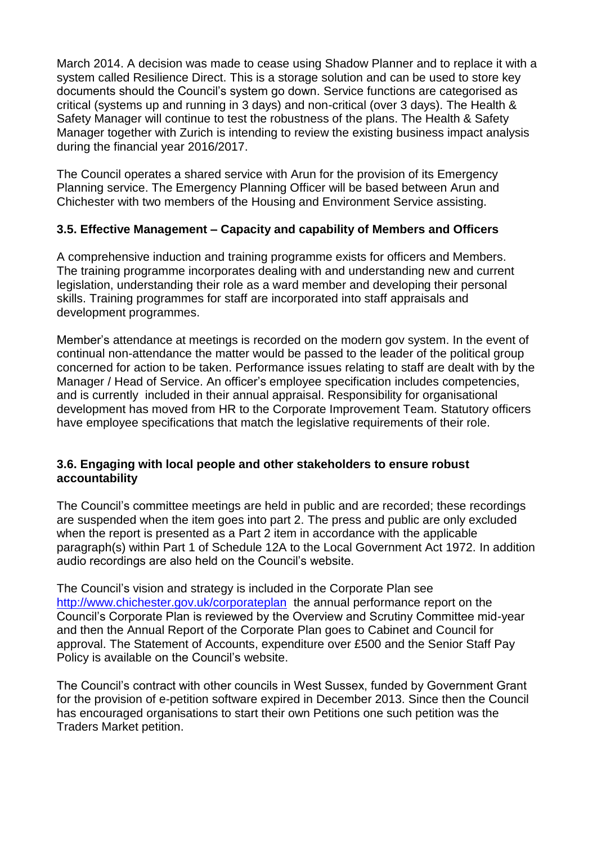March 2014. A decision was made to cease using Shadow Planner and to replace it with a system called Resilience Direct. This is a storage solution and can be used to store key documents should the Council's system go down. Service functions are categorised as critical (systems up and running in 3 days) and non-critical (over 3 days). The Health & Safety Manager will continue to test the robustness of the plans. The Health & Safety Manager together with Zurich is intending to review the existing business impact analysis during the financial year 2016/2017.

The Council operates a shared service with Arun for the provision of its Emergency Planning service. The Emergency Planning Officer will be based between Arun and Chichester with two members of the Housing and Environment Service assisting.

# **3.5. Effective Management – Capacity and capability of Members and Officers**

A comprehensive induction and training programme exists for officers and Members. The training programme incorporates dealing with and understanding new and current legislation, understanding their role as a ward member and developing their personal skills. Training programmes for staff are incorporated into staff appraisals and development programmes.

Member's attendance at meetings is recorded on the modern gov system. In the event of continual non-attendance the matter would be passed to the leader of the political group concerned for action to be taken. Performance issues relating to staff are dealt with by the Manager / Head of Service. An officer's employee specification includes competencies, and is currently included in their annual appraisal. Responsibility for organisational development has moved from HR to the Corporate Improvement Team. Statutory officers have employee specifications that match the legislative requirements of their role.

### **3.6. Engaging with local people and other stakeholders to ensure robust accountability**

The Council's committee meetings are held in public and are recorded; these recordings are suspended when the item goes into part 2. The press and public are only excluded when the report is presented as a Part 2 item in accordance with the applicable paragraph(s) within Part 1 of Schedule 12A to the Local Government Act 1972. In addition audio recordings are also held on the Council's website.

The Council's vision and strategy is included in the Corporate Plan see <http://www.chichester.gov.uk/corporateplan> the annual performance report on the Council's Corporate Plan is reviewed by the Overview and Scrutiny Committee mid-year and then the Annual Report of the Corporate Plan goes to Cabinet and Council for approval. The Statement of Accounts, expenditure over £500 and the Senior Staff Pay Policy is available on the Council's website.

The Council's contract with other councils in West Sussex, funded by Government Grant for the provision of e-petition software expired in December 2013. Since then the Council has encouraged organisations to start their own Petitions one such petition was the Traders Market petition.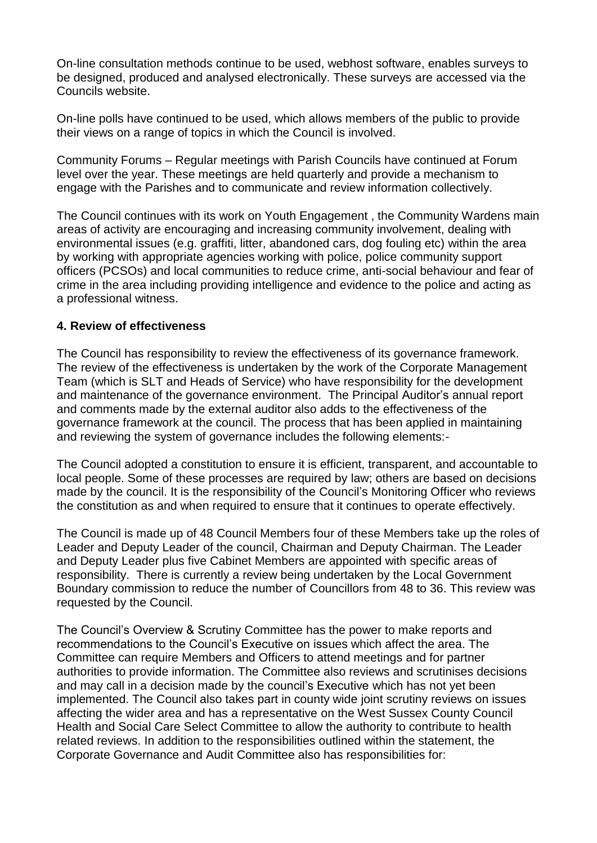On-line consultation methods continue to be used, webhost software, enables surveys to be designed, produced and analysed electronically. These surveys are accessed via the Councils website.

On-line polls have continued to be used, which allows members of the public to provide their views on a range of topics in which the Council is involved.

Community Forums – Regular meetings with Parish Councils have continued at Forum level over the year. These meetings are held quarterly and provide a mechanism to engage with the Parishes and to communicate and review information collectively.

The Council continues with its work on Youth Engagement , the Community Wardens main areas of activity are encouraging and increasing community involvement, dealing with environmental issues (e.g. graffiti, litter, abandoned cars, dog fouling etc) within the area by working with appropriate agencies working with police, police community support officers (PCSOs) and local communities to reduce crime, anti-social behaviour and fear of crime in the area including providing intelligence and evidence to the police and acting as a professional witness.

#### **4. Review of effectiveness**

The Council has responsibility to review the effectiveness of its governance framework. The review of the effectiveness is undertaken by the work of the Corporate Management Team (which is SLT and Heads of Service) who have responsibility for the development and maintenance of the governance environment. The Principal Auditor's annual report and comments made by the external auditor also adds to the effectiveness of the governance framework at the council. The process that has been applied in maintaining and reviewing the system of governance includes the following elements:-

The Council adopted a constitution to ensure it is efficient, transparent, and accountable to local people. Some of these processes are required by law; others are based on decisions made by the council. It is the responsibility of the Council's Monitoring Officer who reviews the constitution as and when required to ensure that it continues to operate effectively.

The Council is made up of 48 Council Members four of these Members take up the roles of Leader and Deputy Leader of the council, Chairman and Deputy Chairman. The Leader and Deputy Leader plus five Cabinet Members are appointed with specific areas of responsibility. There is currently a review being undertaken by the Local Government Boundary commission to reduce the number of Councillors from 48 to 36. This review was requested by the Council.

The Council's Overview & Scrutiny Committee has the power to make reports and recommendations to the Council's Executive on issues which affect the area. The Committee can require Members and Officers to attend meetings and for partner authorities to provide information. The Committee also reviews and scrutinises decisions and may call in a decision made by the council's Executive which has not yet been implemented. The Council also takes part in county wide joint scrutiny reviews on issues affecting the wider area and has a representative on the West Sussex County Council Health and Social Care Select Committee to allow the authority to contribute to health related reviews. In addition to the responsibilities outlined within the statement, the Corporate Governance and Audit Committee also has responsibilities for: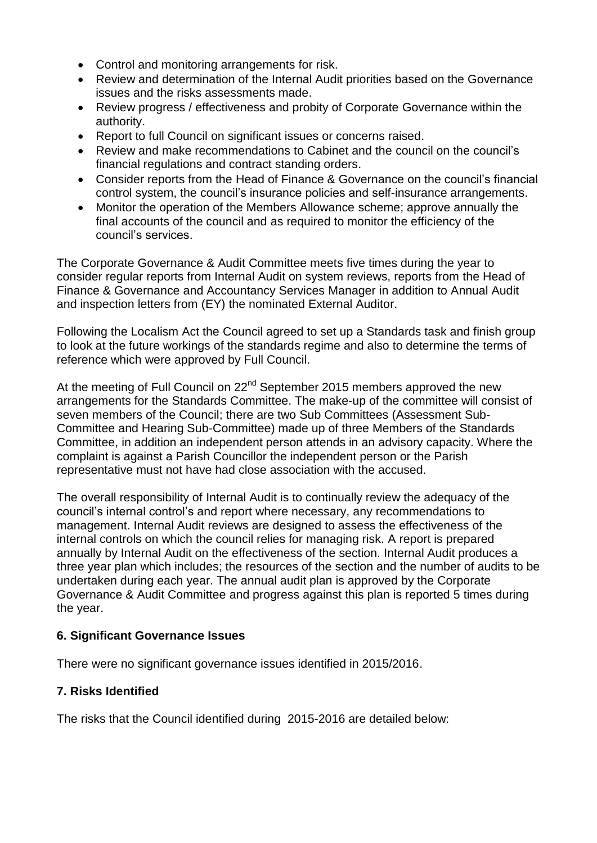- Control and monitoring arrangements for risk.
- Review and determination of the Internal Audit priorities based on the Governance issues and the risks assessments made.
- Review progress / effectiveness and probity of Corporate Governance within the authority.
- Report to full Council on significant issues or concerns raised.
- Review and make recommendations to Cabinet and the council on the council's financial regulations and contract standing orders.
- Consider reports from the Head of Finance & Governance on the council's financial control system, the council's insurance policies and self-insurance arrangements.
- Monitor the operation of the Members Allowance scheme; approve annually the final accounts of the council and as required to monitor the efficiency of the council's services.

The Corporate Governance & Audit Committee meets five times during the year to consider regular reports from Internal Audit on system reviews, reports from the Head of Finance & Governance and Accountancy Services Manager in addition to Annual Audit and inspection letters from (EY) the nominated External Auditor.

Following the Localism Act the Council agreed to set up a Standards task and finish group to look at the future workings of the standards regime and also to determine the terms of reference which were approved by Full Council.

At the meeting of Full Council on  $22<sup>nd</sup>$  September 2015 members approved the new arrangements for the Standards Committee. The make-up of the committee will consist of seven members of the Council; there are two Sub Committees (Assessment Sub-Committee and Hearing Sub-Committee) made up of three Members of the Standards Committee, in addition an independent person attends in an advisory capacity. Where the complaint is against a Parish Councillor the independent person or the Parish representative must not have had close association with the accused.

The overall responsibility of Internal Audit is to continually review the adequacy of the council's internal control's and report where necessary, any recommendations to management. Internal Audit reviews are designed to assess the effectiveness of the internal controls on which the council relies for managing risk. A report is prepared annually by Internal Audit on the effectiveness of the section. Internal Audit produces a three year plan which includes; the resources of the section and the number of audits to be undertaken during each year. The annual audit plan is approved by the Corporate Governance & Audit Committee and progress against this plan is reported 5 times during the year.

# **6. Significant Governance Issues**

There were no significant governance issues identified in 2015/2016.

# **7. Risks Identified**

The risks that the Council identified during 2015-2016 are detailed below: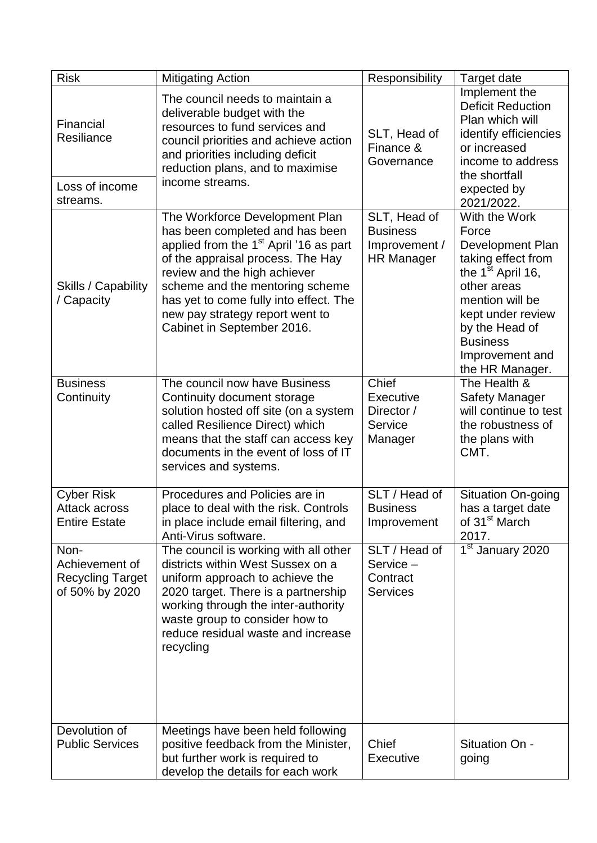| <b>Risk</b>                                                         | <b>Mitigating Action</b>                                                                                                                                                                                                                                                                                                                   | Responsibility                                                        | Target date                                                                                                                                                                                                               |
|---------------------------------------------------------------------|--------------------------------------------------------------------------------------------------------------------------------------------------------------------------------------------------------------------------------------------------------------------------------------------------------------------------------------------|-----------------------------------------------------------------------|---------------------------------------------------------------------------------------------------------------------------------------------------------------------------------------------------------------------------|
| Financial<br>Resiliance                                             | The council needs to maintain a<br>deliverable budget with the<br>resources to fund services and<br>council priorities and achieve action<br>and priorities including deficit<br>reduction plans, and to maximise<br>income streams.                                                                                                       | SLT, Head of<br>Finance &<br>Governance                               | Implement the<br><b>Deficit Reduction</b><br>Plan which will<br>identify efficiencies<br>or increased<br>income to address<br>the shortfall                                                                               |
| Loss of income<br>streams.                                          |                                                                                                                                                                                                                                                                                                                                            |                                                                       | expected by<br>2021/2022.                                                                                                                                                                                                 |
| Skills / Capability<br>/ Capacity                                   | The Workforce Development Plan<br>has been completed and has been<br>applied from the 1 <sup>st</sup> April '16 as part<br>of the appraisal process. The Hay<br>review and the high achiever<br>scheme and the mentoring scheme<br>has yet to come fully into effect. The<br>new pay strategy report went to<br>Cabinet in September 2016. | SLT, Head of<br><b>Business</b><br>Improvement /<br><b>HR Manager</b> | With the Work<br>Force<br>Development Plan<br>taking effect from<br>the $1st$ April 16,<br>other areas<br>mention will be<br>kept under review<br>by the Head of<br><b>Business</b><br>Improvement and<br>the HR Manager. |
| <b>Business</b><br>Continuity                                       | The council now have Business<br>Continuity document storage<br>solution hosted off site (on a system<br>called Resilience Direct) which<br>means that the staff can access key<br>documents in the event of loss of IT<br>services and systems.                                                                                           | Chief<br>Executive<br>Director /<br>Service<br>Manager                | The Health &<br><b>Safety Manager</b><br>will continue to test<br>the robustness of<br>the plans with<br>CMT.                                                                                                             |
| <b>Cyber Risk</b><br><b>Attack across</b><br><b>Entire Estate</b>   | Procedures and Policies are in<br>place to deal with the risk. Controls<br>in place include email filtering, and<br>Anti-Virus software.                                                                                                                                                                                                   | SLT / Head of<br><b>Business</b><br>Improvement                       | <b>Situation On-going</b><br>has a target date<br>of 31 <sup>st</sup> March<br>2017.                                                                                                                                      |
| Non-<br>Achievement of<br><b>Recycling Target</b><br>of 50% by 2020 | The council is working with all other<br>districts within West Sussex on a<br>uniform approach to achieve the<br>2020 target. There is a partnership<br>working through the inter-authority<br>waste group to consider how to<br>reduce residual waste and increase<br>recycling                                                           | SLT / Head of<br>Service-<br>Contract<br><b>Services</b>              | 1 <sup>st</sup> January 2020                                                                                                                                                                                              |
| Devolution of<br><b>Public Services</b>                             | Meetings have been held following<br>positive feedback from the Minister,<br>but further work is required to<br>develop the details for each work                                                                                                                                                                                          | Chief<br>Executive                                                    | Situation On -<br>going                                                                                                                                                                                                   |